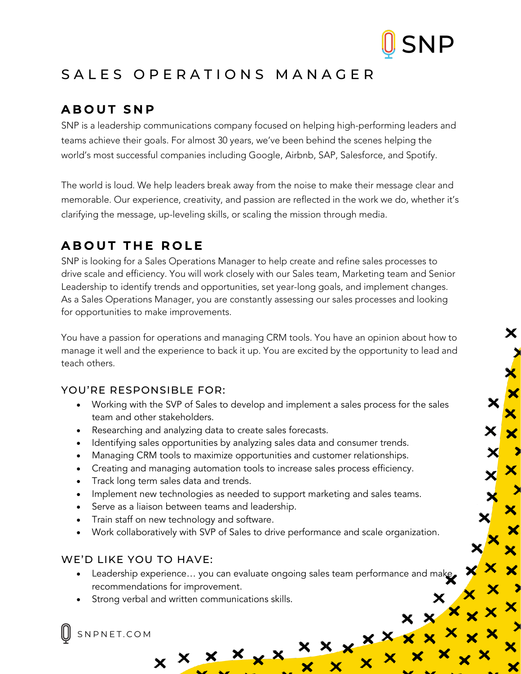

Х

 $\mathbf{\mathsf{x}}$ 

# SALES OPERATIONS MANAGER

## **ABOUT SNP**

SNP is a leadership communications company focused on helping high-performing leaders and teams achieve their goals. For almost 30 years, we've been behind the scenes helping the world's most successful companies including Google, Airbnb, SAP, Salesforce, and Spotify.

The world is loud. We help leaders break away from the noise to make their message clear and memorable. Our experience, creativity, and passion are reflected in the work we do, whether it's clarifying the message, up-leveling skills, or scaling the mission through media.

### **ABOUT THE ROLE**

SNP is looking for a Sales Operations Manager to help create and refine sales processes to drive scale and efficiency. You will work closely with our Sales team, Marketing team and Senior Leadership to identify trends and opportunities, set year-long goals, and implement changes. As a Sales Operations Manager, you are constantly assessing our sales processes and looking for opportunities to make improvements.

You have a passion for operations and managing CRM tools. You have an opinion about how to manage it well and the experience to back it up. You are excited by the opportunity to lead and teach others.

#### YOU'RE RESPONSIBLE FOR:

- Working with the SVP of Sales to develop and implement a sales process for the sales team and other stakeholders.
- Researching and analyzing data to create sales forecasts.
- Identifying sales opportunities by analyzing sales data and consumer trends.
- Managing CRM tools to maximize opportunities and customer relationships.
- Creating and managing automation tools to increase sales process efficiency.
- Track long term sales data and trends.
- Implement new technologies as needed to support marketing and sales teams.
- Serve as a liaison between teams and leadership.
- Train staff on new technology and software.
- Work collaboratively with SVP of Sales to drive performance and scale organization.

#### WE'D LIKE YOU TO HAVE:

- Leadership experience... you can evaluate ongoing sales team performance and make recommendations for improvement.
- Strong verbal and written communications skills.

 $x \times x \times x$ 

SNPNET.COM